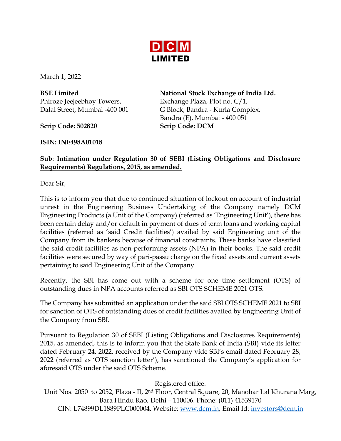

March 1, 2022

**BSE Limited** Phiroze Jeejeebhoy Towers, Dalal Street, Mumbai -400 001

**Scrip Code: 502820 Scrip Code: DCM**

**ISIN: INE498A01018**

**National Stock Exchange of India Ltd.** Exchange Plaza, Plot no. C/1, G Block, Bandra - Kurla Complex, Bandra (E), Mumbai - 400 051

## **Sub**: **Intimation under Regulation 30 of SEBI (Listing Obligations and Disclosure Requirements) Regulations, 2015, as amended.**

Dear Sir,

This is to inform you that due to continued situation of lockout on account of industrial unrest in the Engineering Business Undertaking of the Company namely DCM Engineering Products (a Unit of the Company) (referred as 'Engineering Unit'), there has been certain delay and/or default in payment of dues of term loans and working capital facilities (referred as 'said Credit facilities') availed by said Engineering unit of the Company from its bankers because of financial constraints. These banks have classified the said credit facilities as non-performing assets (NPA) in their books. The said credit facilities were secured by way of pari-passu charge on the fixed assets and current assets pertaining to said Engineering Unit of the Company.

Recently, the SBI has come out with a scheme for one time settlement (OTS) of outstanding dues in NPA accounts referred as SBI OTS SCHEME 2021 OTS.

The Company has submitted an application under the said SBI OTS SCHEME 2021 to SBI for sanction of OTS of outstanding dues of credit facilities availed by Engineering Unit of the Company from SBI.

Pursuant to Regulation 30 of SEBI (Listing Obligations and Disclosures Requirements) 2015, as amended, this is to inform you that the State Bank of India (SBI) vide its letter dated February 24, 2022, received by the Company vide SBI's email dated February 28, 2022 (referred as 'OTS sanction letter'), has sanctioned the Company's application for aforesaid OTS under the said OTS Scheme.

Registered office:

Unit Nos. 2050 to 2052, Plaza - II, 2<sup>nd</sup> Floor, Central Square, 20, Manohar Lal Khurana Marg, Bara Hindu Rao, Delhi – 110006. Phone: (011) 41539170 CIN: L74899DL1889PLC000004, Website: [www.dcm.in,](http://www.dcm.in/) Email Id: [investors@dcm.in](mailto:investors@dcm.in)